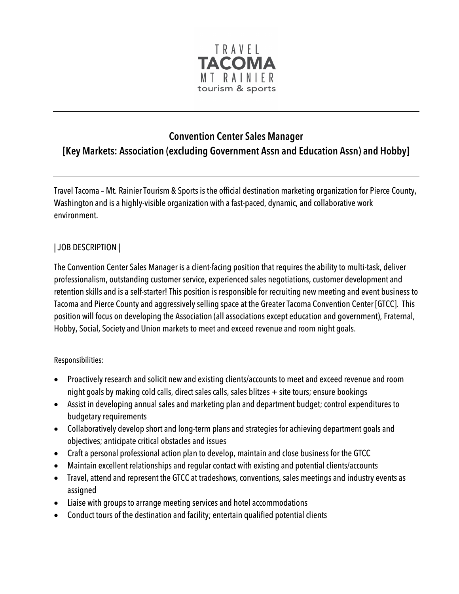

## **Convention Center Sales Manager [Key Markets: Association (excluding Government Assn and Education Assn) and Hobby]**

Travel Tacoma – Mt. Rainier Tourism & Sports is the official destination marketing organization for Pierce County, Washington and is a highly-visible organization with a fast-paced, dynamic, and collaborative work environment.

## | JOB DESCRIPTION |

The Convention Center Sales Manager is a client-facing position that requires the ability to multi-task, deliver professionalism, outstanding customer service, experienced sales negotiations, customer development and retention skills and is a self-starter! This position is responsible for recruiting new meeting and event business to Tacoma and Pierce County and aggressively selling space at the Greater Tacoma Convention Center [GTCC]. This position will focus on developing the Association (all associations except education and government), Fraternal, Hobby, Social, Society and Union markets to meet and exceed revenue and room night goals.

## Responsibilities:

- Proactively research and solicit new and existing clients/accounts to meet and exceed revenue and room night goals by making cold calls, direct sales calls, sales blitzes + site tours; ensure bookings
- Assist in developing annual sales and marketing plan and department budget; control expenditures to budgetary requirements
- Collaboratively develop short and long-term plans and strategies for achieving department goals and objectives; anticipate critical obstacles and issues
- Craft a personal professional action plan to develop, maintain and close business for the GTCC
- Maintain excellent relationships and regular contact with existing and potential clients/accounts
- Travel, attend and represent the GTCC at tradeshows, conventions, sales meetings and industry events as assigned
- Liaise with groups to arrange meeting services and hotel accommodations
- Conduct tours of the destination and facility; entertain qualified potential clients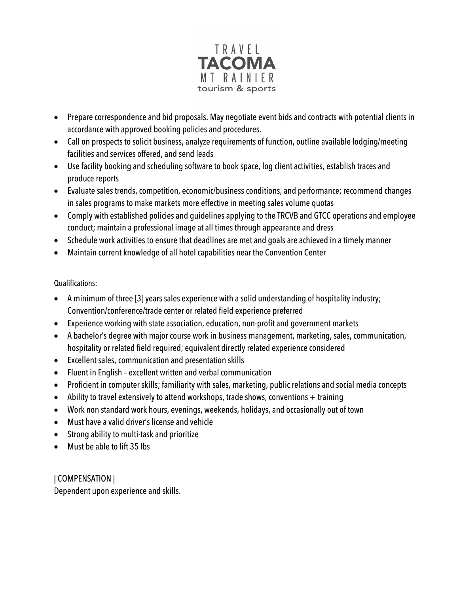

- Prepare correspondence and bid proposals. May negotiate event bids and contracts with potential clients in accordance with approved booking policies and procedures.
- Call on prospects to solicit business, analyze requirements of function, outline available lodging/meeting facilities and services offered, and send leads
- Use facility booking and scheduling software to book space, log client activities, establish traces and produce reports
- Evaluate sales trends, competition, economic/business conditions, and performance; recommend changes in sales programs to make markets more effective in meeting sales volume quotas
- Comply with established policies and guidelines applying to the TRCVB and GTCC operations and employee conduct; maintain a professional image at all times through appearance and dress
- Schedule work activities to ensure that deadlines are met and goals are achieved in a timely manner
- Maintain current knowledge of all hotel capabilities near the Convention Center

## Qualifications:

- A minimum of three [3] years sales experience with a solid understanding of hospitality industry; Convention/conference/trade center or related field experience preferred
- Experience working with state association, education, non-profit and government markets
- A bachelor's degree with major course work in business management, marketing, sales, communication, hospitality or related field required; equivalent directly related experience considered
- Excellent sales, communication and presentation skills
- Fluent in English excellent written and verbal communication
- Proficient in computer skills; familiarity with sales, marketing, public relations and social media concepts
- Ability to travel extensively to attend workshops, trade shows, conventions + training
- Work non standard work hours, evenings, weekends, holidays, and occasionally out of town
- Must have a valid driver's license and vehicle
- Strong ability to multi-task and prioritize
- Must be able to lift 35 lbs

| COMPENSATION | Dependent upon experience and skills.